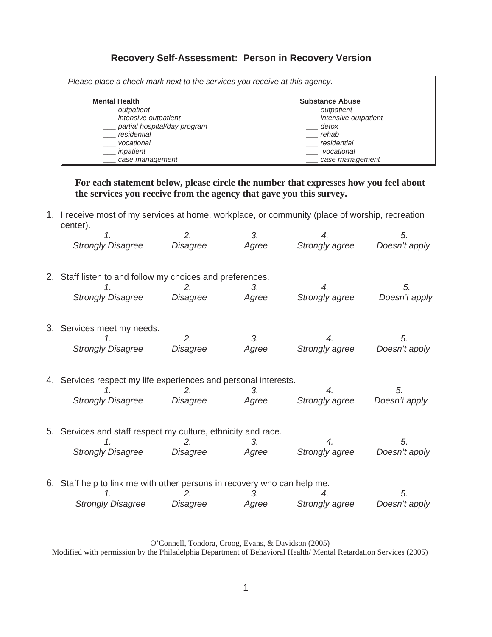## **Recovery Self-Assessment: Person in Recovery Version**

| Please place a check mark next to the services you receive at this agency. |                        |  |  |  |  |  |
|----------------------------------------------------------------------------|------------------------|--|--|--|--|--|
|                                                                            |                        |  |  |  |  |  |
| <b>Mental Health</b>                                                       | <b>Substance Abuse</b> |  |  |  |  |  |
| outpatient                                                                 | outpatient             |  |  |  |  |  |
| intensive outpatient                                                       | intensive outpatient   |  |  |  |  |  |
| __ partial hospital/day program                                            | detox                  |  |  |  |  |  |
| residential                                                                | rehab                  |  |  |  |  |  |
| vocational                                                                 | residential            |  |  |  |  |  |
| inpatient                                                                  | vocational             |  |  |  |  |  |
| case management                                                            | case management        |  |  |  |  |  |

**For each statement below, please circle the number that expresses how you feel about the services you receive from the agency that gave you this survey.** 

1. I receive most of my services at home, workplace, or community (place of worship, recreation center).

|                                                                 |                                                                          | 2.       | 3.    | 4.                    | 5.            |  |  |
|-----------------------------------------------------------------|--------------------------------------------------------------------------|----------|-------|-----------------------|---------------|--|--|
|                                                                 | <b>Strongly Disagree</b>                                                 | Disagree | Agree | Strongly agree        | Doesn't apply |  |  |
|                                                                 | 2. Staff listen to and follow my choices and preferences.                |          |       |                       |               |  |  |
|                                                                 |                                                                          | 2.       | 3.    | 4.                    | 5.            |  |  |
|                                                                 | <b>Strongly Disagree</b>                                                 | Disagree | Agree | Strongly agree        | Doesn't apply |  |  |
|                                                                 | 3. Services meet my needs.                                               |          |       |                       |               |  |  |
|                                                                 | 1.                                                                       | 2.       | 3.    | 4.                    | 5.            |  |  |
|                                                                 | <b>Strongly Disagree</b>                                                 | Disagree | Agree | Strongly agree        | Doesn't apply |  |  |
| 4. Services respect my life experiences and personal interests. |                                                                          |          |       |                       |               |  |  |
|                                                                 |                                                                          | 2.       | 3.    | 4.                    | 5.            |  |  |
|                                                                 | <b>Strongly Disagree</b>                                                 | Disagree | Agree | Strongly agree        | Doesn't apply |  |  |
|                                                                 | 5. Services and staff respect my culture, ethnicity and race.            |          |       |                       |               |  |  |
|                                                                 | 1.                                                                       | 2.       | 3.    | 4.                    | 5.            |  |  |
|                                                                 | <b>Strongly Disagree</b>                                                 | Disagree | Agree | Strongly agree        | Doesn't apply |  |  |
|                                                                 | 6. Staff help to link me with other persons in recovery who can help me. |          |       |                       |               |  |  |
|                                                                 | 1.                                                                       | 2.       | 3.    | 4.                    | 5.            |  |  |
|                                                                 | <b>Strongly Disagree</b>                                                 | Disagree | Agree | <b>Strongly agree</b> | Doesn't apply |  |  |

O'Connell, Tondora, Croog, Evans, & Davidson (2005)

Modified with permission by the Philadelphia Department of Behavioral Health/ Mental Retardation Services (2005)